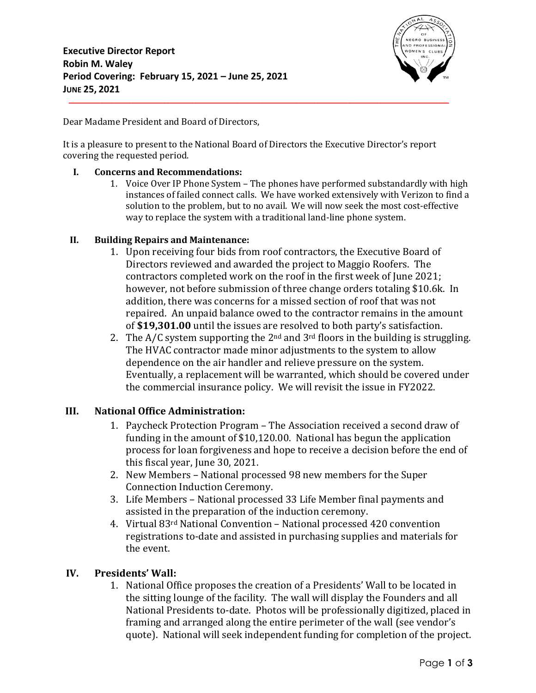

Dear Madame President and Board of Directors,

It is a pleasure to present to the National Board of Directors the Executive Director's report covering the requested period.

#### **I. Concerns and Recommendations:**

1. Voice Over IP Phone System – The phones have performed substandardly with high instances of failed connect calls. We have worked extensively with Verizon to find a solution to the problem, but to no avail. We will now seek the most cost-effective way to replace the system with a traditional land-line phone system.

#### **II. Building Repairs and Maintenance:**

- 1. Upon receiving four bids from roof contractors, the Executive Board of Directors reviewed and awarded the project to Maggio Roofers. The contractors completed work on the roof in the first week of June 2021; however, not before submission of three change orders totaling \$10.6k. In addition, there was concerns for a missed section of roof that was not repaired. An unpaid balance owed to the contractor remains in the amount of **\$19,301.00** until the issues are resolved to both party's satisfaction.
- 2. The  $A/C$  system supporting the  $2<sup>nd</sup>$  and  $3<sup>rd</sup>$  floors in the building is struggling. The HVAC contractor made minor adjustments to the system to allow dependence on the air handler and relieve pressure on the system. Eventually, a replacement will be warranted, which should be covered under the commercial insurance policy. We will revisit the issue in FY2022.

## **III. National Office Administration:**

- 1. Paycheck Protection Program The Association received a second draw of funding in the amount of \$10,120.00. National has begun the application process for loan forgiveness and hope to receive a decision before the end of this fiscal year, June 30, 2021.
- 2. New Members National processed 98 new members for the Super Connection Induction Ceremony.
- 3. Life Members National processed 33 Life Member final payments and assisted in the preparation of the induction ceremony.
- 4. Virtual 83rd National Convention National processed 420 convention registrations to-date and assisted in purchasing supplies and materials for the event.

## **IV. Presidents' Wall:**

1. National Office proposes the creation of a Presidents' Wall to be located in the sitting lounge of the facility. The wall will display the Founders and all National Presidents to-date. Photos will be professionally digitized, placed in framing and arranged along the entire perimeter of the wall (see vendor's quote). National will seek independent funding for completion of the project.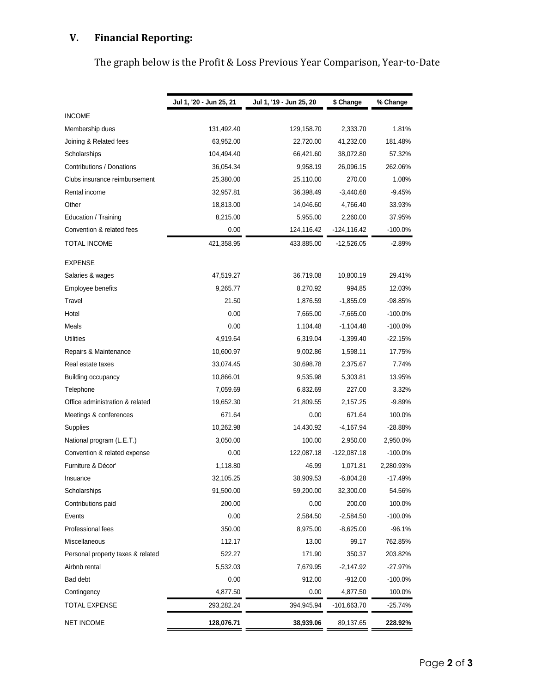# **V. Financial Reporting:**

|  |  |  | The graph below is the Profit & Loss Previous Year Comparison, Year-to-Date |  |
|--|--|--|-----------------------------------------------------------------------------|--|
|  |  |  |                                                                             |  |

|                                   | Jul 1, '20 - Jun 25, 21 | Jul 1, '19 - Jun 25, 20 | \$ Change      | % Change   |
|-----------------------------------|-------------------------|-------------------------|----------------|------------|
| <b>INCOME</b>                     |                         |                         |                |            |
| Membership dues                   | 131,492.40              | 129,158.70              | 2,333.70       | 1.81%      |
| Joining & Related fees            | 63,952.00               | 22,720.00               | 41,232.00      | 181.48%    |
| Scholarships                      | 104,494.40              | 66,421.60               | 38,072.80      | 57.32%     |
| Contributions / Donations         | 36,054.34               | 9,958.19                | 26,096.15      | 262.06%    |
| Clubs insurance reimbursement     | 25,380.00               | 25,110.00               | 270.00         | 1.08%      |
| Rental income                     | 32,957.81               | 36,398.49               | $-3,440.68$    | $-9.45%$   |
| Other                             | 18,813.00               | 14,046.60               | 4,766.40       | 33.93%     |
| Education / Training              | 8,215.00                | 5,955.00                | 2,260.00       | 37.95%     |
| Convention & related fees         | 0.00                    | 124,116.42              | $-124, 116.42$ | $-100.0\%$ |
| TOTAL INCOME                      | 421,358.95              | 433,885.00              | $-12,526.05$   | $-2.89%$   |
| <b>EXPENSE</b>                    |                         |                         |                |            |
| Salaries & wages                  | 47,519.27               | 36,719.08               | 10,800.19      | 29.41%     |
| Employee benefits                 | 9,265.77                | 8,270.92                | 994.85         | 12.03%     |
| Travel                            | 21.50                   | 1,876.59                | $-1,855.09$    | -98.85%    |
| Hotel                             | 0.00                    | 7,665.00                | $-7,665.00$    | $-100.0\%$ |
| Meals                             | 0.00                    | 1,104.48                | $-1,104.48$    | $-100.0%$  |
| <b>Utilities</b>                  | 4,919.64                | 6,319.04                | $-1,399.40$    | $-22.15%$  |
| Repairs & Maintenance             | 10,600.97               | 9,002.86                | 1,598.11       | 17.75%     |
| Real estate taxes                 | 33,074.45               | 30,698.78               | 2,375.67       | 7.74%      |
| Building occupancy                | 10,866.01               | 9,535.98                | 5,303.81       | 13.95%     |
| Telephone                         | 7,059.69                | 6,832.69                | 227.00         | 3.32%      |
| Office administration & related   | 19,652.30               | 21,809.55               | 2,157.25       | $-9.89%$   |
| Meetings & conferences            | 671.64                  | 0.00                    | 671.64         | 100.0%     |
| Supplies                          | 10,262.98               | 14,430.92               | $-4,167.94$    | -28.88%    |
| National program (L.E.T.)         | 3,050.00                | 100.00                  | 2,950.00       | 2,950.0%   |
| Convention & related expense      | 0.00                    | 122,087.18              | -122,087.18    | $-100.0\%$ |
| Furniture & Décor'                | 1,118.80                | 46.99                   | 1,071.81       | 2,280.93%  |
| Insuance                          | 32,105.25               | 38,909.53               | $-6,804.28$    | -17.49%    |
| Scholarships                      | 91,500.00               | 59,200.00               | 32,300.00      | 54.56%     |
| Contributions paid                | 200.00                  | 0.00                    | 200.00         | 100.0%     |
| Events                            | 0.00                    | 2,584.50                | $-2,584.50$    | $-100.0\%$ |
| Professional fees                 | 350.00                  | 8,975.00                | $-8,625.00$    | $-96.1%$   |
| Miscellaneous                     | 112.17                  | 13.00                   | 99.17          | 762.85%    |
| Personal property taxes & related | 522.27                  | 171.90                  | 350.37         | 203.82%    |
| Airbnb rental                     | 5,532.03                | 7,679.95                | $-2,147.92$    | $-27.97%$  |
| Bad debt                          | 0.00                    | 912.00                  | $-912.00$      | $-100.0%$  |
| Contingency                       | 4,877.50                | 0.00                    | 4,877.50       | 100.0%     |
| <b>TOTAL EXPENSE</b>              | 293,282.24              | 394,945.94              | $-101,663.70$  | -25.74%    |
| <b>NET INCOME</b>                 | 128,076.71              | 38,939.06               | 89,137.65      | 228.92%    |